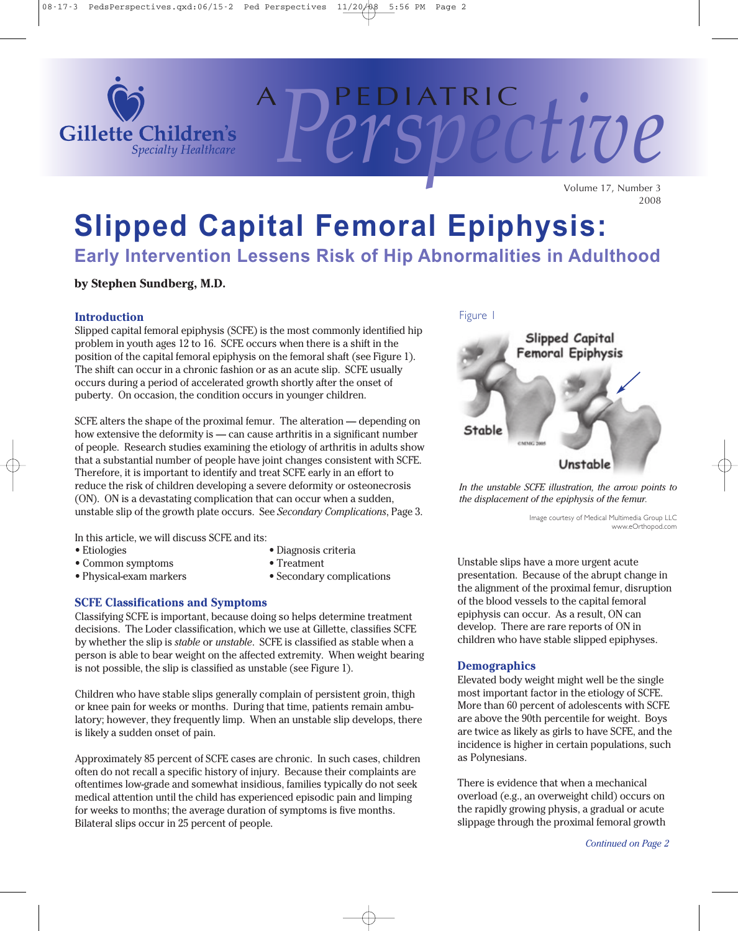

Volume 17, Number 3 2008

<sup>A</sup> P ED I AT RI C *Perspective*

# **Slipped Capital Femoral Epiphysis:**

**Early Intervention Lessens Risk of Hip Abnormalities in Adulthood**

**by Stephen Sundberg, M.D.**

#### **Introduction**

Slipped capital femoral epiphysis (SCFE) is the most commonly identified hip problem in youth ages 12 to 16. SCFE occurs when there is a shift in the position of the capital femoral epiphysis on the femoral shaft (see Figure 1). The shift can occur in a chronic fashion or as an acute slip. SCFE usually occurs during a period of accelerated growth shortly after the onset of puberty. On occasion, the condition occurs in younger children.

SCFE alters the shape of the proximal femur. The alteration — depending on how extensive the deformity is — can cause arthritis in a significant number of people. Research studies examining the etiology of arthritis in adults show that a substantial number of people have joint changes consistent with SCFE. Therefore, it is important to identify and treat SCFE early in an effort to reduce the risk of children developing a severe deformity or osteonecrosis (ON). ON is a devastating complication that can occur when a sudden, unstable slip of the growth plate occurs. See *Secondary Complications*, Page 3.

In this article, we will discuss SCFE and its:

- 
- Common symptoms Treatment
- 
- Etiologies Diagnosis criteria
	-
- Physical-exam markers Secondary complications
- 

### **SCFE Classifications and Symptoms**

Classifying SCFE is important, because doing so helps determine treatment decisions. The Loder classification, which we use at Gillette, classifies SCFE by whether the slip is *stable* or *unstable*. SCFE is classified as stable when a person is able to bear weight on the affected extremity. When weight bearing is not possible, the slip is classified as unstable (see Figure 1).

Children who have stable slips generally complain of persistent groin, thigh or knee pain for weeks or months. During that time, patients remain ambulatory; however, they frequently limp. When an unstable slip develops, there is likely a sudden onset of pain.

Approximately 85 percent of SCFE cases are chronic. In such cases, children often do not recall a specific history of injury. Because their complaints are oftentimes low-grade and somewhat insidious, families typically do not seek medical attention until the child has experienced episodic pain and limping for weeks to months; the average duration of symptoms is five months. Bilateral slips occur in 25 percent of people.



*In the unstable SCFE illustration, the arrow points to the displacement of the epiphysis of the femur.*

> Image courtesy of Medical Multimedia Group LLC www.eOrthopod.com

Unstable slips have a more urgent acute presentation. Because of the abrupt change in the alignment of the proximal femur, disruption of the blood vessels to the capital femoral epiphysis can occur. As a result, ON can develop. There are rare reports of ON in children who have stable slipped epiphyses.

#### **Demographics**

Elevated body weight might well be the single most important factor in the etiology of SCFE. More than 60 percent of adolescents with SCFE are above the 90th percentile for weight. Boys are twice as likely as girls to have SCFE, and the incidence is higher in certain populations, such as Polynesians.

There is evidence that when a mechanical overload (e.g., an overweight child) occurs on the rapidly growing physis, a gradual or acute slippage through the proximal femoral growth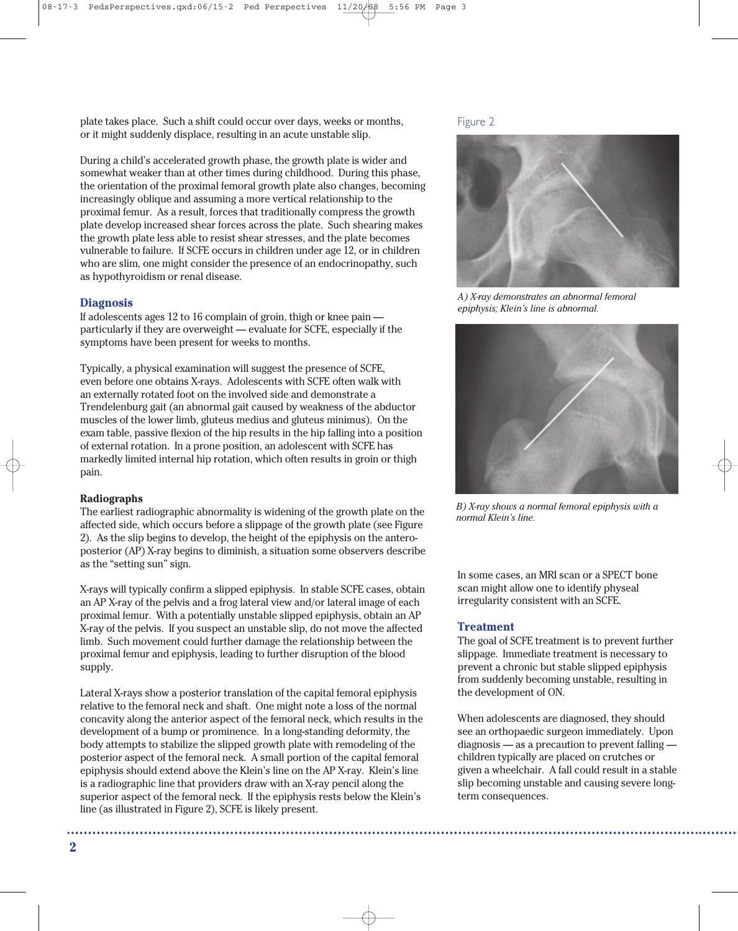plate takes place. Such a shift could occur over days, weeks or months, or it might suddenly displace, resulting in an acute unstable slip.

During a child's accelerated growth phase, the growth plate is wider and somewhat weaker than at other times during childhood. During this phase, the orientation of the proximal femoral growth plate also changes, becoming increasingly oblique and assuming a more vertical relationship to the proximal femur. As a result, forces that traditionally compress the growth plate develop increased shear forces across the plate. Such shearing makes the growth plate less able to resist shear stresses, and the plate becomes vulnerable to failure. If SCFE occurs in children under age 12, or in children who are slim, one might consider the presence of an endocrinopathy, such as hypothyroidism or renal disease.

#### **Diagnosis**

If adolescents ages 12 to 16 complain of groin, thigh or knee pain particularly if they are overweight — evaluate for SCFE, especially if the symptoms have been present for weeks to months.

Typically, a physical examination will suggest the presence of SCFE, even before one obtains X-rays. Adolescents with SCFE often walk with an externally rotated foot on the involved side and demonstrate a Trendelenburg gait (an abnormal gait caused by weakness of the abductor muscles of the lower limb, gluteus medius and gluteus minimus). On the exam table, passive flexion of the hip results in the hip falling into a position of external rotation. In a prone position, an adolescent with SCFE has markedly limited internal hip rotation, which often results in groin or thigh pain.

#### **Radiographs**

The earliest radiographic abnormality is widening of the growth plate on the affected side, which occurs before a slippage of the growth plate (see Figure 2). As the slip begins to develop, the height of the epiphysis on the anteroposterior (AP) X-ray begins to diminish, a situation some observers describe as the "setting sun" sign.

X-rays will typically confirm a slipped epiphysis. In stable SCFE cases, obtain an AP X-ray of the pelvis and a frog lateral view and/or lateral image of each proximal femur. With a potentially unstable slipped epiphysis, obtain an AP X-ray of the pelvis. If you suspect an unstable slip, do not move the affected limb. Such movement could further damage the relationship between the proximal femur and epiphysis, leading to further disruption of the blood supply.

Lateral X-rays show a posterior translation of the capital femoral epiphysis relative to the femoral neck and shaft. One might note a loss of the normal concavity along the anterior aspect of the femoral neck, which results in the development of a bump or prominence. In a long-standing deformity, the body attempts to stabilize the slipped growth plate with remodeling of the posterior aspect of the femoral neck. A small portion of the capital femoral epiphysis should extend above the Klein's line on the AP X-ray. Klein's line is a radiographic line that providers draw with an X-ray pencil along the superior aspect of the femoral neck. If the epiphysis rests below the Klein's line (as illustrated in Figure 2), SCFE is likely present.

Figure 2



*A) X-ray demonstrates an abnormal femoral epiphysis; Klein's line is abnormal.*



*B) X-ray shows a normal femoral epiphysis with a normal Klein's line.*

In some cases, an MRI scan or a SPECT bone scan might allow one to identify physeal irregularity consistent with an SCFE.

#### **Treatment**

The goal of SCFE treatment is to prevent further slippage. Immediate treatment is necessary to prevent a chronic but stable slipped epiphysis from suddenly becoming unstable, resulting in the development of ON.

When adolescents are diagnosed, they should see an orthopaedic surgeon immediately. Upon diagnosis — as a precaution to prevent falling children typically are placed on crutches or given a wheelchair. A fall could result in a stable slip becoming unstable and causing severe longterm consequences.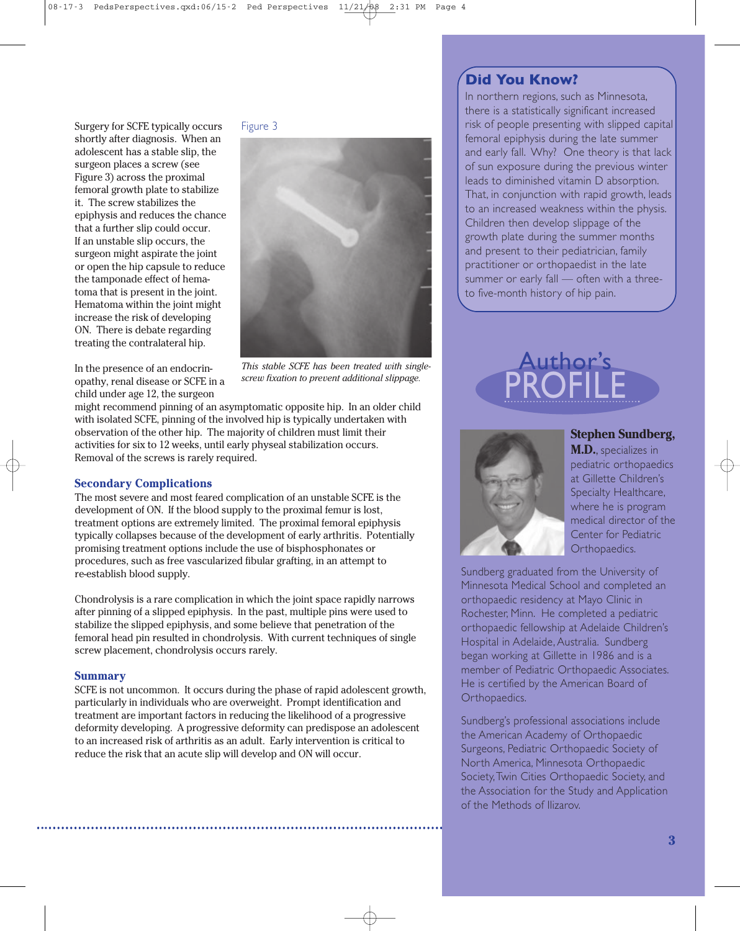Surgery for SCFE typically occurs shortly after diagnosis. When an adolescent has a stable slip, the surgeon places a screw (see Figure 3) across the proximal femoral growth plate to stabilize it. The screw stabilizes the epiphysis and reduces the chance that a further slip could occur. If an unstable slip occurs, the surgeon might aspirate the joint or open the hip capsule to reduce the tamponade effect of hematoma that is present in the joint. Hematoma within the joint might increase the risk of developing ON. There is debate regarding treating the contralateral hip.

Figure 3



In the presence of an endocrinopathy, renal disease or SCFE in a child under age 12, the surgeon

*This stable SCFE has been treated with singlescrew fixation to prevent additional slippage.*

might recommend pinning of an asymptomatic opposite hip. In an older child with isolated SCFE, pinning of the involved hip is typically undertaken with observation of the other hip. The majority of children must limit their activities for six to 12 weeks, until early physeal stabilization occurs. Removal of the screws is rarely required.

#### **Secondary Complications**

The most severe and most feared complication of an unstable SCFE is the development of ON. If the blood supply to the proximal femur is lost, treatment options are extremely limited. The proximal femoral epiphysis typically collapses because of the development of early arthritis. Potentially promising treatment options include the use of bisphosphonates or procedures, such as free vascularized fibular grafting, in an attempt to re-establish blood supply.

Chondrolysis is a rare complication in which the joint space rapidly narrows after pinning of a slipped epiphysis. In the past, multiple pins were used to stabilize the slipped epiphysis, and some believe that penetration of the femoral head pin resulted in chondrolysis. With current techniques of single screw placement, chondrolysis occurs rarely.

#### **Summary**

SCFE is not uncommon. It occurs during the phase of rapid adolescent growth, particularly in individuals who are overweight. Prompt identification and treatment are important factors in reducing the likelihood of a progressive deformity developing. A progressive deformity can predispose an adolescent to an increased risk of arthritis as an adult. Early intervention is critical to reduce the risk that an acute slip will develop and ON will occur.

## **Did You Know?**

In northern regions, such as Minnesota, there is a statistically significant increased risk of people presenting with slipped capital femoral epiphysis during the late summer and early fall. Why? One theory is that lack of sun exposure during the previous winter leads to diminished vitamin D absorption. That, in conjunction with rapid growth, leads to an increased weakness within the physis. Children then develop slippage of the growth plate during the summer months and present to their pediatrician, family practitioner or orthopaedist in the late summer or early fall — often with a threeto five-month history of hip pain.

## PROFILE Author's



#### **Stephen Sundberg,**

**M.D.**, specializes in pediatric orthopaedics at Gillette Children's Specialty Healthcare, where he is program medical director of the Center for Pediatric Orthopaedics.

Sundberg graduated from the University of Minnesota Medical School and completed an orthopaedic residency at Mayo Clinic in Rochester, Minn. He completed a pediatric orthopaedic fellowship at Adelaide Children's Hospital in Adelaide, Australia. Sundberg began working at Gillette in 1986 and is a member of Pediatric Orthopaedic Associates. He is certified by the American Board of Orthopaedics.

Sundberg's professional associations include the American Academy of Orthopaedic Surgeons, Pediatric Orthopaedic Society of North America, Minnesota Orthopaedic Society,Twin Cities Orthopaedic Society, and the Association for the Study and Application of the Methods of Ilizarov.